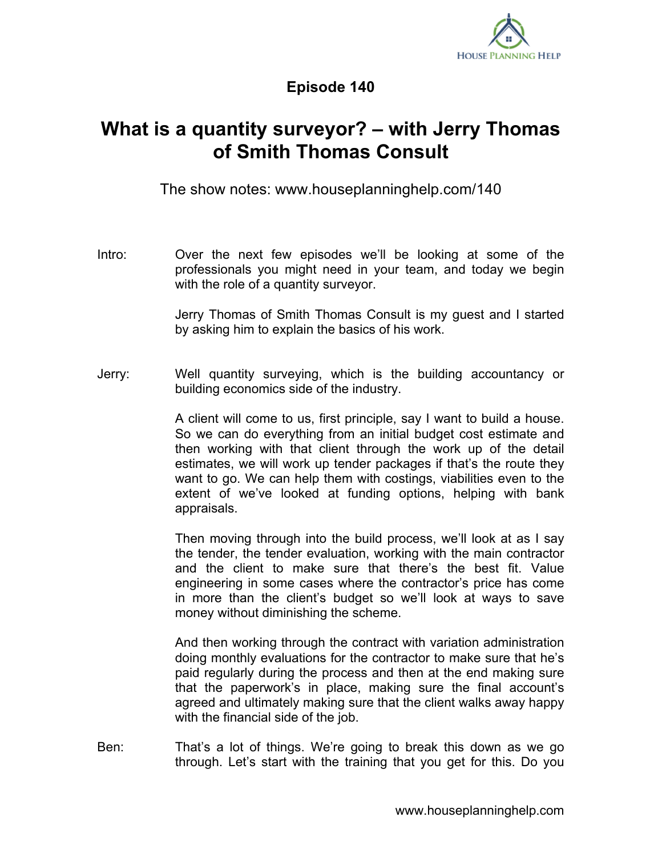

## **Episode 140**

## **What is a quantity surveyor? – with Jerry Thomas of Smith Thomas Consult**

The show notes: www.houseplanninghelp.com/140

Intro: Over the next few episodes we'll be looking at some of the professionals you might need in your team, and today we begin with the role of a quantity surveyor.

> Jerry Thomas of Smith Thomas Consult is my guest and I started by asking him to explain the basics of his work.

Jerry: Well quantity surveying, which is the building accountancy or building economics side of the industry.

> A client will come to us, first principle, say I want to build a house. So we can do everything from an initial budget cost estimate and then working with that client through the work up of the detail estimates, we will work up tender packages if that's the route they want to go. We can help them with costings, viabilities even to the extent of we've looked at funding options, helping with bank appraisals.

> Then moving through into the build process, we'll look at as I say the tender, the tender evaluation, working with the main contractor and the client to make sure that there's the best fit. Value engineering in some cases where the contractor's price has come in more than the client's budget so we'll look at ways to save money without diminishing the scheme.

> And then working through the contract with variation administration doing monthly evaluations for the contractor to make sure that he's paid regularly during the process and then at the end making sure that the paperwork's in place, making sure the final account's agreed and ultimately making sure that the client walks away happy with the financial side of the job.

Ben: That's a lot of things. We're going to break this down as we go through. Let's start with the training that you get for this. Do you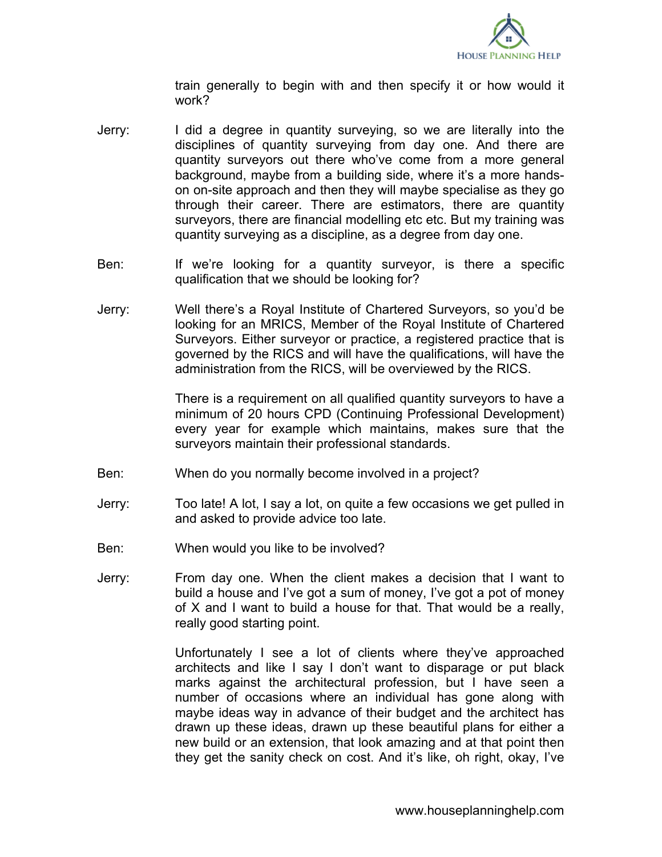

train generally to begin with and then specify it or how would it work?

- Jerry: I did a degree in quantity surveying, so we are literally into the disciplines of quantity surveying from day one. And there are quantity surveyors out there who've come from a more general background, maybe from a building side, where it's a more handson on-site approach and then they will maybe specialise as they go through their career. There are estimators, there are quantity surveyors, there are financial modelling etc etc. But my training was quantity surveying as a discipline, as a degree from day one.
- Ben: If we're looking for a quantity surveyor, is there a specific qualification that we should be looking for?
- Jerry: Well there's a Royal Institute of Chartered Surveyors, so you'd be looking for an MRICS, Member of the Royal Institute of Chartered Surveyors. Either surveyor or practice, a registered practice that is governed by the RICS and will have the qualifications, will have the administration from the RICS, will be overviewed by the RICS.

There is a requirement on all qualified quantity surveyors to have a minimum of 20 hours CPD (Continuing Professional Development) every year for example which maintains, makes sure that the surveyors maintain their professional standards.

- Ben: When do you normally become involved in a project?
- Jerry: Too late! A lot, I say a lot, on quite a few occasions we get pulled in and asked to provide advice too late.
- Ben: When would you like to be involved?
- Jerry: From day one. When the client makes a decision that I want to build a house and I've got a sum of money, I've got a pot of money of X and I want to build a house for that. That would be a really, really good starting point.

Unfortunately I see a lot of clients where they've approached architects and like I say I don't want to disparage or put black marks against the architectural profession, but I have seen a number of occasions where an individual has gone along with maybe ideas way in advance of their budget and the architect has drawn up these ideas, drawn up these beautiful plans for either a new build or an extension, that look amazing and at that point then they get the sanity check on cost. And it's like, oh right, okay, I've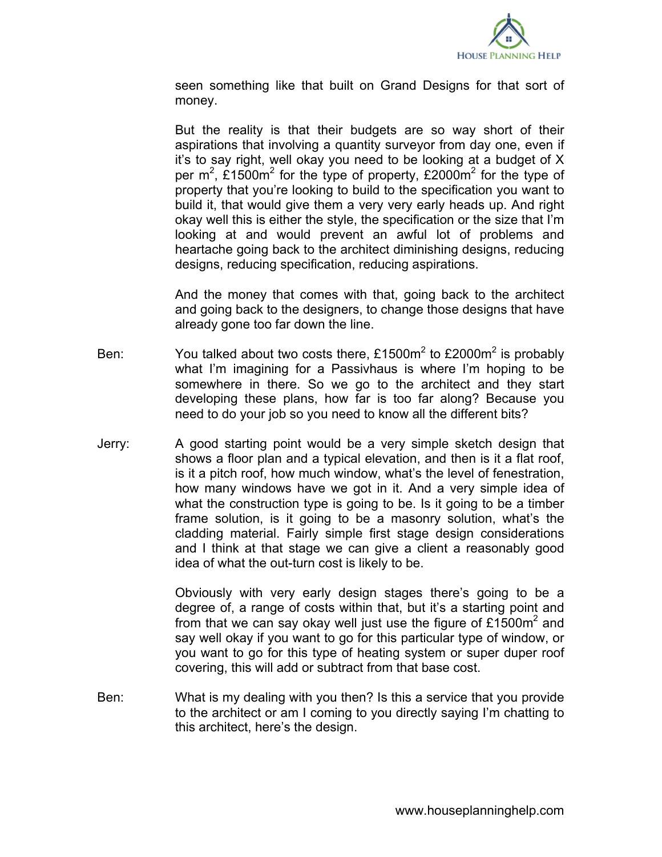

seen something like that built on Grand Designs for that sort of money.

But the reality is that their budgets are so way short of their aspirations that involving a quantity surveyor from day one, even if it's to say right, well okay you need to be looking at a budget of X per m<sup>2</sup>, £1500m<sup>2</sup> for the type of property, £2000m<sup>2</sup> for the type of property that you're looking to build to the specification you want to build it, that would give them a very very early heads up. And right okay well this is either the style, the specification or the size that I'm looking at and would prevent an awful lot of problems and heartache going back to the architect diminishing designs, reducing designs, reducing specification, reducing aspirations.

And the money that comes with that, going back to the architect and going back to the designers, to change those designs that have already gone too far down the line.

- Ben: You talked about two costs there, £1500m<sup>2</sup> to £2000m<sup>2</sup> is probably what I'm imagining for a Passivhaus is where I'm hoping to be somewhere in there. So we go to the architect and they start developing these plans, how far is too far along? Because you need to do your job so you need to know all the different bits?
- Jerry: A good starting point would be a very simple sketch design that shows a floor plan and a typical elevation, and then is it a flat roof, is it a pitch roof, how much window, what's the level of fenestration, how many windows have we got in it. And a very simple idea of what the construction type is going to be. Is it going to be a timber frame solution, is it going to be a masonry solution, what's the cladding material. Fairly simple first stage design considerations and I think at that stage we can give a client a reasonably good idea of what the out-turn cost is likely to be.

Obviously with very early design stages there's going to be a degree of, a range of costs within that, but it's a starting point and from that we can say okay well just use the figure of £1500m<sup>2</sup> and say well okay if you want to go for this particular type of window, or you want to go for this type of heating system or super duper roof covering, this will add or subtract from that base cost.

Ben: What is my dealing with you then? Is this a service that you provide to the architect or am I coming to you directly saying I'm chatting to this architect, here's the design.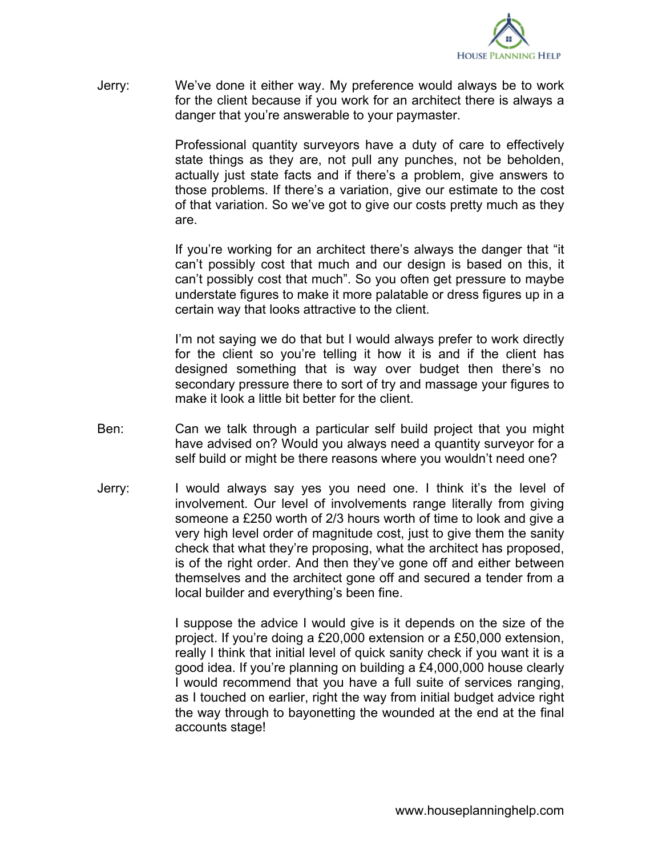

Jerry: We've done it either way. My preference would always be to work for the client because if you work for an architect there is always a danger that you're answerable to your paymaster.

> Professional quantity surveyors have a duty of care to effectively state things as they are, not pull any punches, not be beholden, actually just state facts and if there's a problem, give answers to those problems. If there's a variation, give our estimate to the cost of that variation. So we've got to give our costs pretty much as they are.

> If you're working for an architect there's always the danger that "it can't possibly cost that much and our design is based on this, it can't possibly cost that much". So you often get pressure to maybe understate figures to make it more palatable or dress figures up in a certain way that looks attractive to the client.

> I'm not saying we do that but I would always prefer to work directly for the client so you're telling it how it is and if the client has designed something that is way over budget then there's no secondary pressure there to sort of try and massage your figures to make it look a little bit better for the client.

- Ben: Can we talk through a particular self build project that you might have advised on? Would you always need a quantity surveyor for a self build or might be there reasons where you wouldn't need one?
- Jerry: I would always say yes you need one. I think it's the level of involvement. Our level of involvements range literally from giving someone a £250 worth of 2/3 hours worth of time to look and give a very high level order of magnitude cost, just to give them the sanity check that what they're proposing, what the architect has proposed, is of the right order. And then they've gone off and either between themselves and the architect gone off and secured a tender from a local builder and everything's been fine.

I suppose the advice I would give is it depends on the size of the project. If you're doing a £20,000 extension or a £50,000 extension, really I think that initial level of quick sanity check if you want it is a good idea. If you're planning on building a £4,000,000 house clearly I would recommend that you have a full suite of services ranging, as I touched on earlier, right the way from initial budget advice right the way through to bayonetting the wounded at the end at the final accounts stage!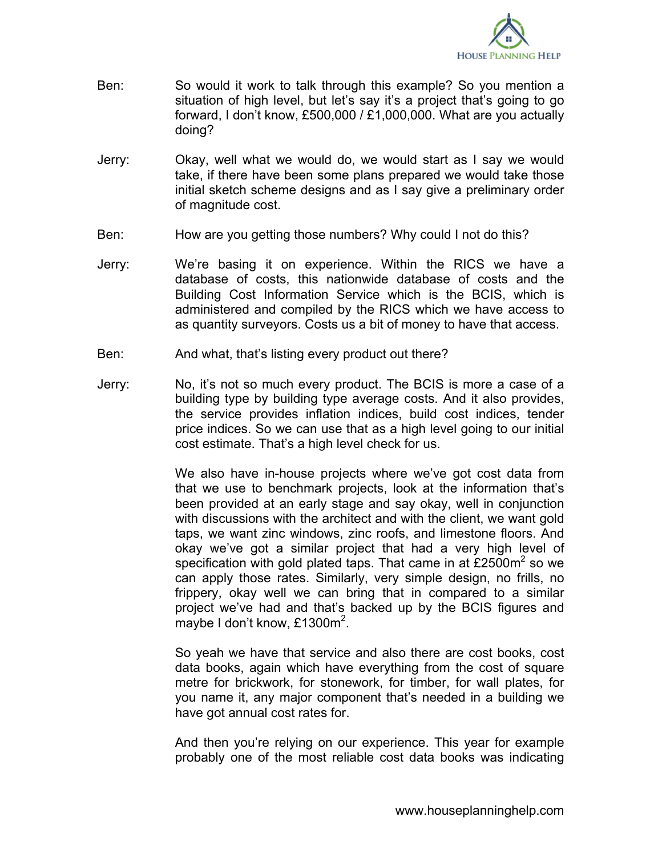

- Ben: So would it work to talk through this example? So you mention a situation of high level, but let's say it's a project that's going to go forward, I don't know, £500,000 / £1,000,000. What are you actually doing?
- Jerry: Okay, well what we would do, we would start as I say we would take, if there have been some plans prepared we would take those initial sketch scheme designs and as I say give a preliminary order of magnitude cost.
- Ben: How are you getting those numbers? Why could I not do this?
- Jerry: We're basing it on experience. Within the RICS we have a database of costs, this nationwide database of costs and the Building Cost Information Service which is the BCIS, which is administered and compiled by the RICS which we have access to as quantity surveyors. Costs us a bit of money to have that access.
- Ben: And what, that's listing every product out there?
- Jerry: No, it's not so much every product. The BCIS is more a case of a building type by building type average costs. And it also provides, the service provides inflation indices, build cost indices, tender price indices. So we can use that as a high level going to our initial cost estimate. That's a high level check for us.

We also have in-house projects where we've got cost data from that we use to benchmark projects, look at the information that's been provided at an early stage and say okay, well in conjunction with discussions with the architect and with the client, we want gold taps, we want zinc windows, zinc roofs, and limestone floors. And okay we've got a similar project that had a very high level of specification with gold plated taps. That came in at £2500m<sup>2</sup> so we can apply those rates. Similarly, very simple design, no frills, no frippery, okay well we can bring that in compared to a similar project we've had and that's backed up by the BCIS figures and maybe I don't know, £1300m<sup>2</sup>.

So yeah we have that service and also there are cost books, cost data books, again which have everything from the cost of square metre for brickwork, for stonework, for timber, for wall plates, for you name it, any major component that's needed in a building we have got annual cost rates for.

And then you're relying on our experience. This year for example probably one of the most reliable cost data books was indicating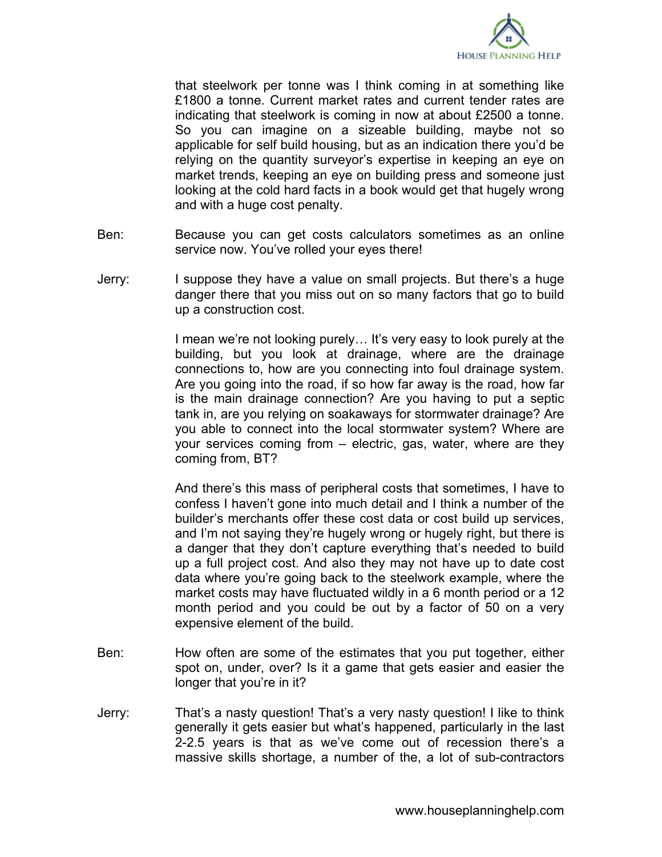

that steelwork per tonne was I think coming in at something like £1800 a tonne. Current market rates and current tender rates are indicating that steelwork is coming in now at about £2500 a tonne. So you can imagine on a sizeable building, maybe not so applicable for self build housing, but as an indication there you'd be relying on the quantity surveyor's expertise in keeping an eye on market trends, keeping an eye on building press and someone just looking at the cold hard facts in a book would get that hugely wrong and with a huge cost penalty.

- Ben: Because you can get costs calculators sometimes as an online service now. You've rolled your eyes there!
- Jerry: I suppose they have a value on small projects. But there's a huge danger there that you miss out on so many factors that go to build up a construction cost.

I mean we're not looking purely... It's very easy to look purely at the building, but you look at drainage, where are the drainage connections to, how are you connecting into foul drainage system. Are you going into the road, if so how far away is the road, how far is the main drainage connection? Are you having to put a septic tank in, are you relying on soakaways for stormwater drainage? Are you able to connect into the local stormwater system? Where are your services coming from – electric, gas, water, where are they coming from, BT?

And there's this mass of peripheral costs that sometimes, I have to confess I haven't gone into much detail and I think a number of the builder's merchants offer these cost data or cost build up services, and I'm not saying they're hugely wrong or hugely right, but there is a danger that they don't capture everything that's needed to build up a full project cost. And also they may not have up to date cost data where you're going back to the steelwork example, where the market costs may have fluctuated wildly in a 6 month period or a 12 month period and you could be out by a factor of 50 on a very expensive element of the build.

- Ben: How often are some of the estimates that you put together, either spot on, under, over? Is it a game that gets easier and easier the longer that you're in it?
- Jerry: That's a nasty question! That's a very nasty question! I like to think generally it gets easier but what's happened, particularly in the last 2-2.5 years is that as we've come out of recession there's a massive skills shortage, a number of the, a lot of sub-contractors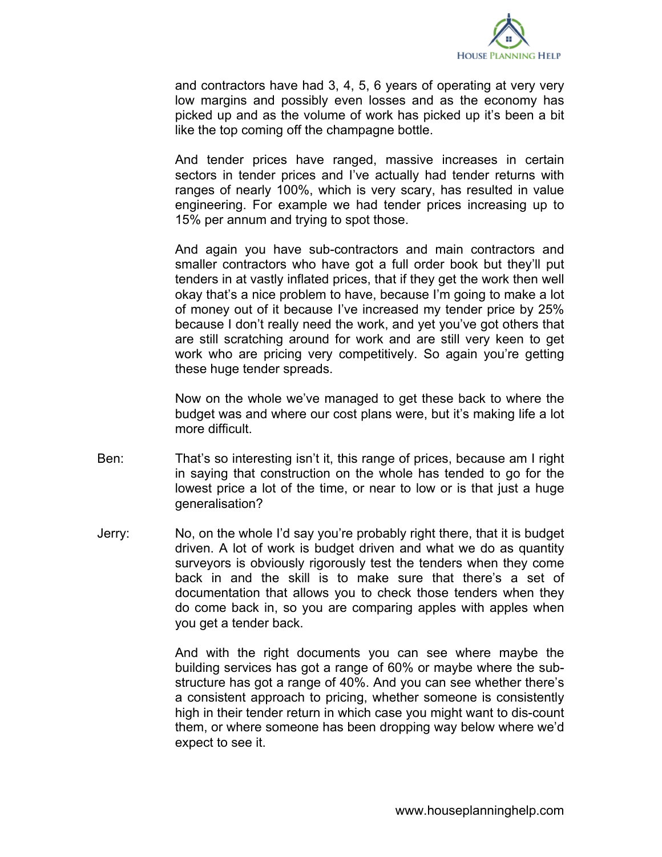

and contractors have had 3, 4, 5, 6 years of operating at very very low margins and possibly even losses and as the economy has picked up and as the volume of work has picked up it's been a bit like the top coming off the champagne bottle.

And tender prices have ranged, massive increases in certain sectors in tender prices and I've actually had tender returns with ranges of nearly 100%, which is very scary, has resulted in value engineering. For example we had tender prices increasing up to 15% per annum and trying to spot those.

And again you have sub-contractors and main contractors and smaller contractors who have got a full order book but they'll put tenders in at vastly inflated prices, that if they get the work then well okay that's a nice problem to have, because I'm going to make a lot of money out of it because I've increased my tender price by 25% because I don't really need the work, and yet you've got others that are still scratching around for work and are still very keen to get work who are pricing very competitively. So again you're getting these huge tender spreads.

Now on the whole we've managed to get these back to where the budget was and where our cost plans were, but it's making life a lot more difficult.

- Ben: That's so interesting isn't it, this range of prices, because am I right in saying that construction on the whole has tended to go for the lowest price a lot of the time, or near to low or is that just a huge generalisation?
- Jerry: No, on the whole I'd say you're probably right there, that it is budget driven. A lot of work is budget driven and what we do as quantity surveyors is obviously rigorously test the tenders when they come back in and the skill is to make sure that there's a set of documentation that allows you to check those tenders when they do come back in, so you are comparing apples with apples when you get a tender back.

And with the right documents you can see where maybe the building services has got a range of 60% or maybe where the substructure has got a range of 40%. And you can see whether there's a consistent approach to pricing, whether someone is consistently high in their tender return in which case you might want to dis-count them, or where someone has been dropping way below where we'd expect to see it.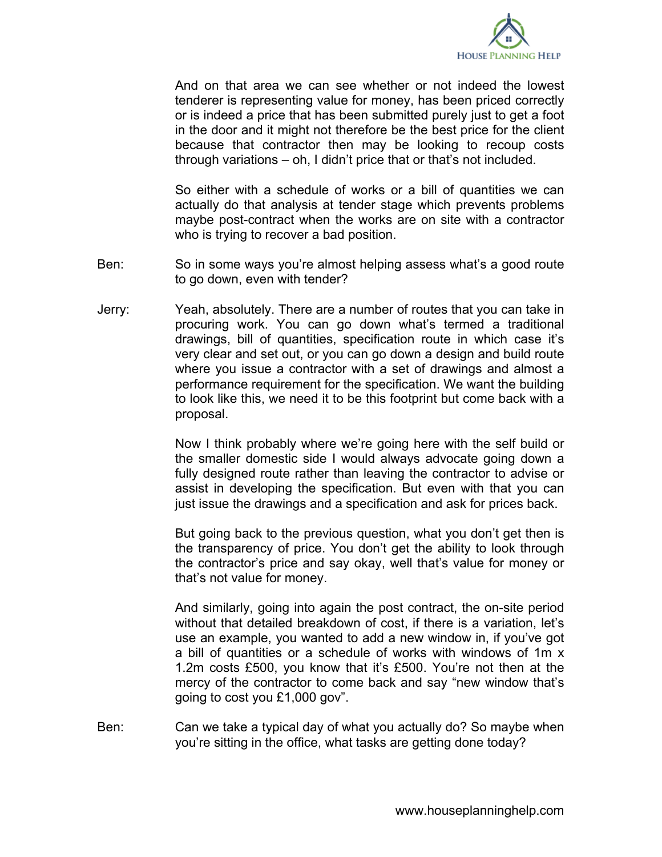

And on that area we can see whether or not indeed the lowest tenderer is representing value for money, has been priced correctly or is indeed a price that has been submitted purely just to get a foot in the door and it might not therefore be the best price for the client because that contractor then may be looking to recoup costs through variations – oh, I didn't price that or that's not included.

So either with a schedule of works or a bill of quantities we can actually do that analysis at tender stage which prevents problems maybe post-contract when the works are on site with a contractor who is trying to recover a bad position.

- Ben: So in some ways you're almost helping assess what's a good route to go down, even with tender?
- Jerry: Yeah, absolutely. There are a number of routes that you can take in procuring work. You can go down what's termed a traditional drawings, bill of quantities, specification route in which case it's very clear and set out, or you can go down a design and build route where you issue a contractor with a set of drawings and almost a performance requirement for the specification. We want the building to look like this, we need it to be this footprint but come back with a proposal.

Now I think probably where we're going here with the self build or the smaller domestic side I would always advocate going down a fully designed route rather than leaving the contractor to advise or assist in developing the specification. But even with that you can just issue the drawings and a specification and ask for prices back.

But going back to the previous question, what you don't get then is the transparency of price. You don't get the ability to look through the contractor's price and say okay, well that's value for money or that's not value for money.

And similarly, going into again the post contract, the on-site period without that detailed breakdown of cost, if there is a variation, let's use an example, you wanted to add a new window in, if you've got a bill of quantities or a schedule of works with windows of 1m x 1.2m costs £500, you know that it's £500. You're not then at the mercy of the contractor to come back and say "new window that's going to cost you £1,000 gov".

Ben: Can we take a typical day of what you actually do? So maybe when you're sitting in the office, what tasks are getting done today?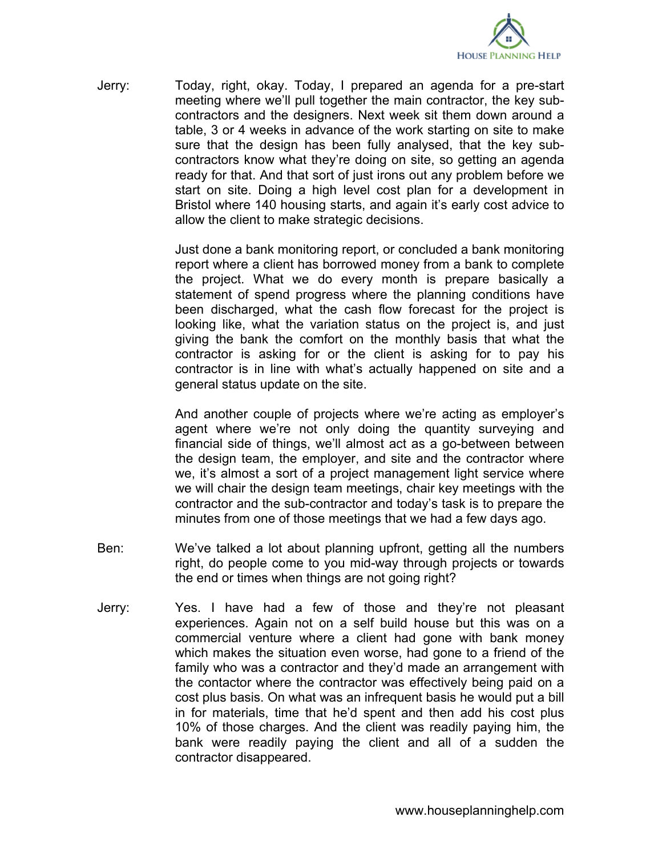

Jerry: Today, right, okay. Today, I prepared an agenda for a pre-start meeting where we'll pull together the main contractor, the key subcontractors and the designers. Next week sit them down around a table, 3 or 4 weeks in advance of the work starting on site to make sure that the design has been fully analysed, that the key subcontractors know what they're doing on site, so getting an agenda ready for that. And that sort of just irons out any problem before we start on site. Doing a high level cost plan for a development in Bristol where 140 housing starts, and again it's early cost advice to allow the client to make strategic decisions.

> Just done a bank monitoring report, or concluded a bank monitoring report where a client has borrowed money from a bank to complete the project. What we do every month is prepare basically a statement of spend progress where the planning conditions have been discharged, what the cash flow forecast for the project is looking like, what the variation status on the project is, and just giving the bank the comfort on the monthly basis that what the contractor is asking for or the client is asking for to pay his contractor is in line with what's actually happened on site and a general status update on the site.

> And another couple of projects where we're acting as employer's agent where we're not only doing the quantity surveying and financial side of things, we'll almost act as a go-between between the design team, the employer, and site and the contractor where we, it's almost a sort of a project management light service where we will chair the design team meetings, chair key meetings with the contractor and the sub-contractor and today's task is to prepare the minutes from one of those meetings that we had a few days ago.

- Ben: We've talked a lot about planning upfront, getting all the numbers right, do people come to you mid-way through projects or towards the end or times when things are not going right?
- Jerry: Yes. I have had a few of those and they're not pleasant experiences. Again not on a self build house but this was on a commercial venture where a client had gone with bank money which makes the situation even worse, had gone to a friend of the family who was a contractor and they'd made an arrangement with the contactor where the contractor was effectively being paid on a cost plus basis. On what was an infrequent basis he would put a bill in for materials, time that he'd spent and then add his cost plus 10% of those charges. And the client was readily paying him, the bank were readily paying the client and all of a sudden the contractor disappeared.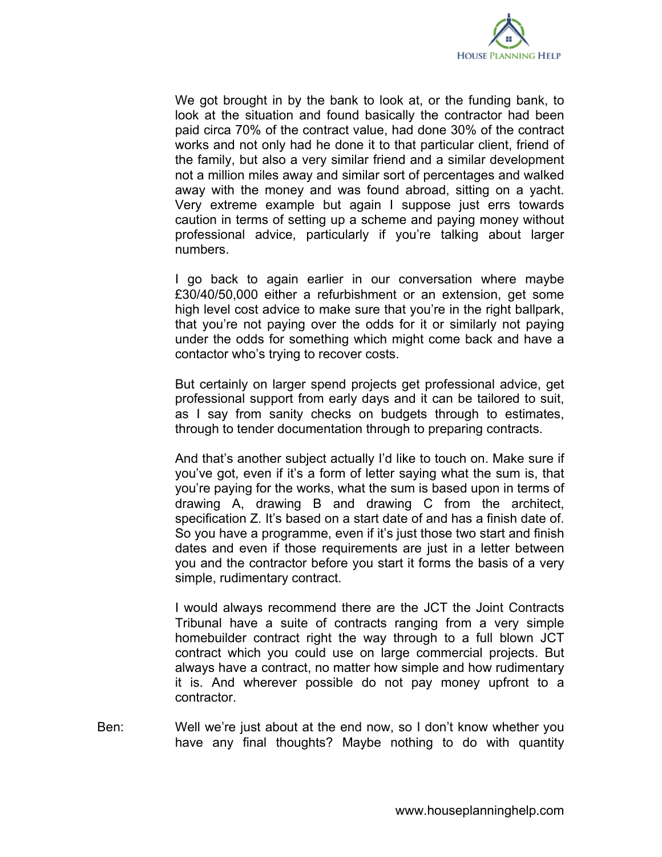

We got brought in by the bank to look at, or the funding bank, to look at the situation and found basically the contractor had been paid circa 70% of the contract value, had done 30% of the contract works and not only had he done it to that particular client, friend of the family, but also a very similar friend and a similar development not a million miles away and similar sort of percentages and walked away with the money and was found abroad, sitting on a yacht. Very extreme example but again I suppose just errs towards caution in terms of setting up a scheme and paying money without professional advice, particularly if you're talking about larger numbers.

I go back to again earlier in our conversation where maybe £30/40/50,000 either a refurbishment or an extension, get some high level cost advice to make sure that you're in the right ballpark, that you're not paying over the odds for it or similarly not paying under the odds for something which might come back and have a contactor who's trying to recover costs.

But certainly on larger spend projects get professional advice, get professional support from early days and it can be tailored to suit, as I say from sanity checks on budgets through to estimates, through to tender documentation through to preparing contracts.

And that's another subject actually I'd like to touch on. Make sure if you've got, even if it's a form of letter saying what the sum is, that you're paying for the works, what the sum is based upon in terms of drawing A, drawing B and drawing C from the architect, specification Z. It's based on a start date of and has a finish date of. So you have a programme, even if it's just those two start and finish dates and even if those requirements are just in a letter between you and the contractor before you start it forms the basis of a very simple, rudimentary contract.

I would always recommend there are the JCT the Joint Contracts Tribunal have a suite of contracts ranging from a very simple homebuilder contract right the way through to a full blown JCT contract which you could use on large commercial projects. But always have a contract, no matter how simple and how rudimentary it is. And wherever possible do not pay money upfront to a contractor.

Ben: Well we're just about at the end now, so I don't know whether you have any final thoughts? Maybe nothing to do with quantity